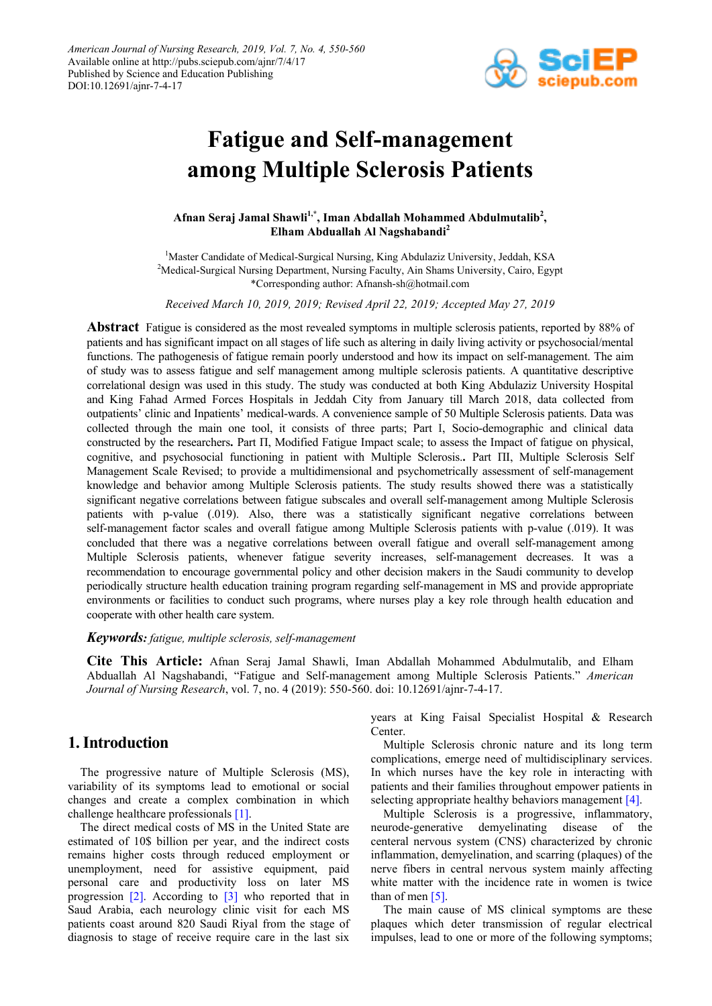

# **Fatigue and Self-management among Multiple Sclerosis Patients**

**Afnan Seraj Jamal Shawli1,\* , Iman Abdallah Mohammed Abdulmutalib<sup>2</sup> , Elham Abduallah Al Nagshabandi2**

<sup>1</sup>Master Candidate of Medical-Surgical Nursing, King Abdulaziz University, Jeddah, KSA <sup>2</sup>Medical-Surgical Nursing Department, Nursing Faculty, Ain Shams University, Cairo, Egypt \*Corresponding author: Afnansh-sh@hotmail.com

*Received March 10, 2019, 2019; Revised April 22, 2019; Accepted May 27, 2019*

**Abstract** Fatigue is considered as the most revealed symptoms in multiple sclerosis patients, reported by 88% of patients and has significant impact on all stages of life such as altering in daily living activity or psychosocial/mental functions. The pathogenesis of fatigue remain poorly understood and how its impact on self-management. The aim of study was to assess fatigue and self management among multiple sclerosis patients. A quantitative descriptive correlational design was used in this study. The study was conducted at both King Abdulaziz University Hospital and King Fahad Armed Forces Hospitals in Jeddah City from January till March 2018, data collected from outpatients' clinic and Inpatients' medical-wards. A convenience sample of 50 Multiple Sclerosis patients. Data was collected through the main one tool, it consists of three parts; Part I, Socio-demographic and clinical data constructed by the researchers**.** Part П, Modified Fatigue Impact scale; to assess the Impact of fatigue on physical, cognitive, and psychosocial functioning in patient with Multiple Sclerosis.**.** Part ПІ, Multiple Sclerosis Self Management Scale Revised; to provide a multidimensional and psychometrically assessment of self-management knowledge and behavior among Multiple Sclerosis patients. The study results showed there was a statistically significant negative correlations between fatigue subscales and overall self-management among Multiple Sclerosis patients with p-value (.019). Also, there was a statistically significant negative correlations between self-management factor scales and overall fatigue among Multiple Sclerosis patients with p-value (.019). It was concluded that there was a negative correlations between overall fatigue and overall self-management among Multiple Sclerosis patients, whenever fatigue severity increases, self-management decreases. It was a recommendation to encourage governmental policy and other decision makers in the Saudi community to develop periodically structure health education training program regarding self-management in MS and provide appropriate environments or facilities to conduct such programs, where nurses play a key role through health education and cooperate with other health care system.

### *Keywords: fatigue, multiple sclerosis, self-management*

**Cite This Article:** Afnan Seraj Jamal Shawli, Iman Abdallah Mohammed Abdulmutalib, and Elham Abduallah Al Nagshabandi, "Fatigue and Self-management among Multiple Sclerosis Patients." *American Journal of Nursing Research*, vol. 7, no. 4 (2019): 550-560. doi: 10.12691/ajnr-7-4-17.

# **1. Introduction**

The progressive nature of Multiple Sclerosis (MS), variability of its symptoms lead to emotional or social changes and create a complex combination in which challenge healthcare professionals [\[1\].](#page-9-0)

The direct medical costs of MS in the United State are estimated of 10\$ billion per year, and the indirect costs remains higher costs through reduced employment or unemployment, need for assistive equipment, paid personal care and productivity loss on later MS progression [\[2\].](#page-9-1) According to [\[3\]](#page-9-2) who reported that in Saud Arabia, each neurology clinic visit for each MS patients coast around 820 Saudi Riyal from the stage of diagnosis to stage of receive require care in the last six

years at King Faisal Specialist Hospital & Research Center.

Multiple Sclerosis chronic nature and its long term complications, emerge need of multidisciplinary services. In which nurses have the key role in interacting with patients and their families throughout empower patients in selecting appropriate healthy behaviors management [\[4\].](#page-9-3)

Multiple Sclerosis is a progressive, inflammatory, neurode-generative demyelinating disease of the centeral nervous system (CNS) characterized by chronic inflammation, demyelination, and scarring (plaques) of the nerve fibers in central nervous system mainly affecting white matter with the incidence rate in women is twice than of men  $[5]$ .

The main cause of MS clinical symptoms are these plaques which deter transmission of regular electrical impulses, lead to one or more of the following symptoms;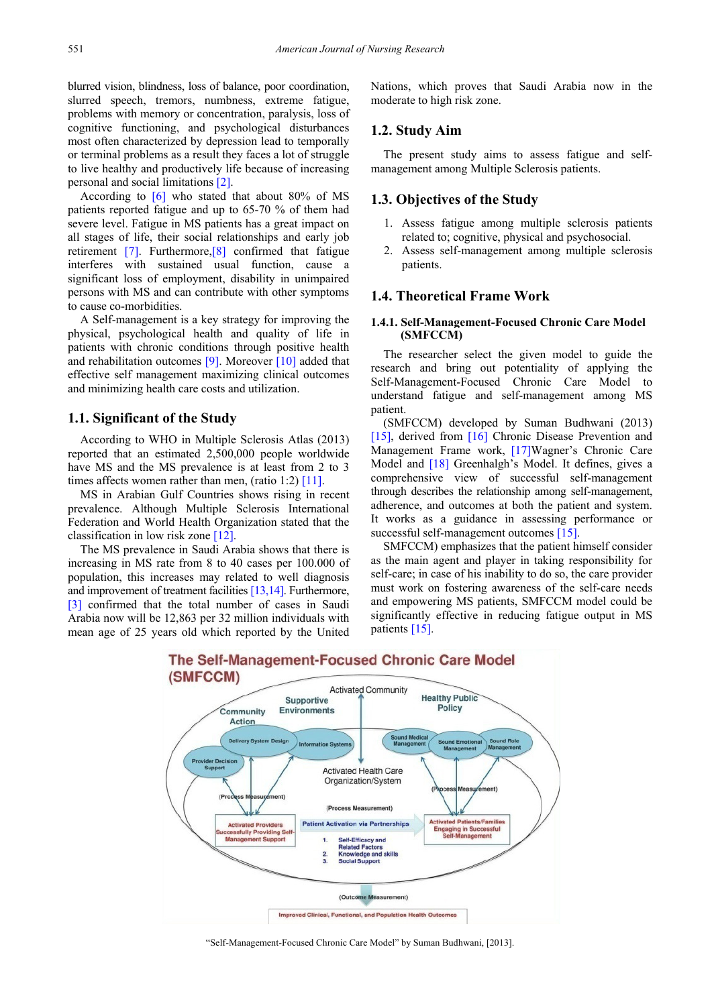blurred vision, blindness, loss of balance, poor coordination, slurred speech, tremors, numbness, extreme fatigue, problems with memory or concentration, paralysis, loss of cognitive functioning, and psychological disturbances most often characterized by depression lead to temporally or terminal problems as a result they faces a lot of struggle to live healthy and productively life because of increasing personal and social limitations [\[2\].](#page-9-1)

According to  $\boxed{6}$  who stated that about 80% of MS patients reported fatigue and up to 65-70 % of them had severe level. Fatigue in MS patients has a great impact on all stages of life, their social relationships and early job retirement [\[7\].](#page-9-6) Furthermore[,\[8\]](#page-9-7) confirmed that fatigue interferes with sustained usual function, cause a significant loss of employment, disability in unimpaired persons with MS and can contribute with other symptoms to cause co-morbidities.

A Self-management is a key strategy for improving the physical, psychological health and quality of life in patients with chronic conditions through positive health and rehabilitation outcomes [\[9\].](#page-9-8) Moreover [\[10\]](#page-9-9) added that effective self management maximizing clinical outcomes and minimizing health care costs and utilization.

## **1.1. Significant of the Study**

According to WHO in Multiple Sclerosis Atlas (2013) reported that an estimated 2,500,000 people worldwide have MS and the MS prevalence is at least from 2 to 3 times affects women rather than men, (ratio 1:2)  $[11]$ .

MS in Arabian Gulf Countries shows rising in recent prevalence. Although Multiple Sclerosis International Federation and World Health Organization stated that the classification in low risk zon[e \[12\].](#page-9-11)

The MS prevalence in Saudi Arabia shows that there is increasing in MS rate from 8 to 40 cases per 100.000 of population, this increases may related to well diagnosis and improvement of treatment facilitie[s \[13,14\].](#page-9-12) Furthermore, [\[3\]](#page-9-2) confirmed that the total number of cases in Saudi Arabia now will be 12,863 per 32 million individuals with mean age of 25 years old which reported by the United

Nations, which proves that Saudi Arabia now in the moderate to high risk zone.

## **1.2. Study Aim**

The present study aims to assess fatigue and selfmanagement among Multiple Sclerosis patients.

#### **1.3. Objectives of the Study**

- 1. Assess fatigue among multiple sclerosis patients related to; cognitive, physical and psychosocial.
- 2. Assess self-management among multiple sclerosis patients.

## **1.4. Theoretical Frame Work**

#### **1.4.1. Self-Management-Focused Chronic Care Model (SMFCCM)**

The researcher select the given model to guide the research and bring out potentiality of applying the Self-Management-Focused Chronic Care Model to understand fatigue and self-management among MS patient.

(SMFCCM) developed by Suman Budhwani (2013) [\[15\],](#page-9-13) derived from [\[16\]](#page-9-14) Chronic Disease Prevention and Management Frame work, [\[17\]W](#page-9-15)agner's Chronic Care Model and [\[18\]](#page-9-16) Greenhalgh's Model. It defines, gives a comprehensive view of successful self-management through describes the relationship among self-management, adherence, and outcomes at both the patient and system. It works as a guidance in assessing performance or successful self-management outcomes [\[15\].](#page-9-13)

SMFCCM) emphasizes that the patient himself consider as the main agent and player in taking responsibility for self-care; in case of his inability to do so, the care provider must work on fostering awareness of the self-care needs and empowering MS patients, SMFCCM model could be significantly effective in reducing fatigue output in MS patients [\[15\].](#page-9-13)



# The Self-Management-Focused Chronic Care Model

"Self-Management-Focused Chronic Care Model" by Suman Budhwani, [2013].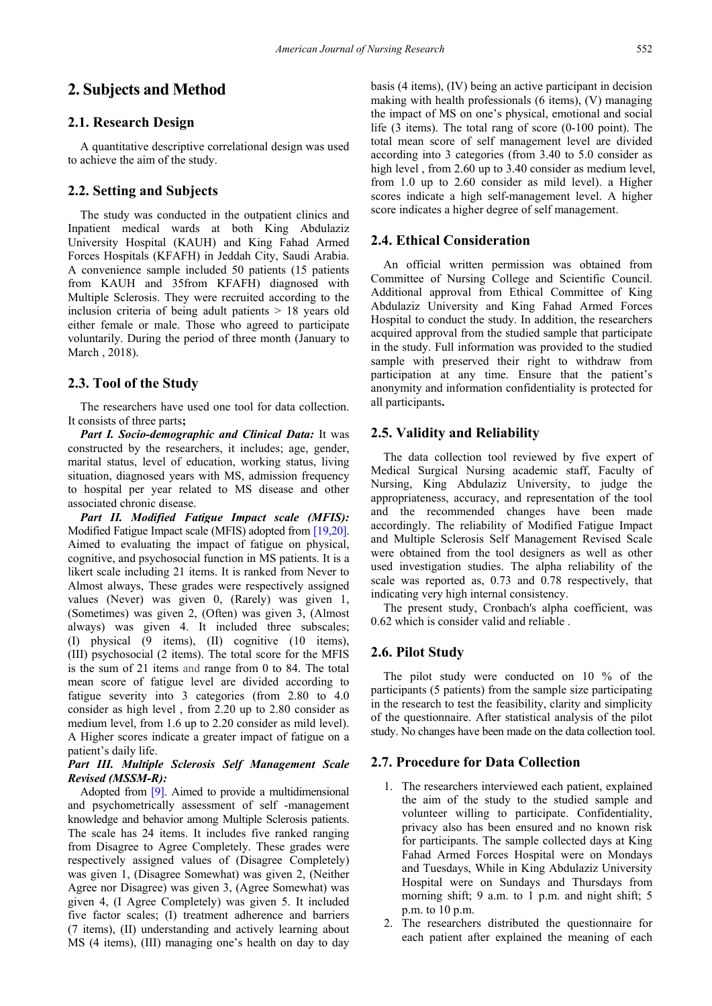## **2. Subjects and Method**

#### **2.1. Research Design**

A quantitative descriptive correlational design was used to achieve the aim of the study.

#### **2.2. Setting and Subjects**

The study was conducted in the outpatient clinics and Inpatient medical wards at both King Abdulaziz University Hospital (KAUH) and King Fahad Armed Forces Hospitals (KFAFH) in Jeddah City, Saudi Arabia. A convenience sample included 50 patients (15 patients from KAUH and 35from KFAFH) diagnosed with Multiple Sclerosis. They were recruited according to the inclusion criteria of being adult patients > 18 years old either female or male. Those who agreed to participate voluntarily. During the period of three month (January to March , 2018).

#### **2.3. Tool of the Study**

The researchers have used one tool for data collection. It consists of three parts**;**

*Part I. Socio-demographic and Clinical Data:* It was constructed by the researchers, it includes; age, gender, marital status, level of education, working status, living situation, diagnosed years with MS, admission frequency to hospital per year related to MS disease and other associated chronic disease.

*Part II. Modified Fatigue Impact scale (MFIS):* Modified Fatigue Impact scale (MFIS) adopted from [\[19,20\].](#page-9-17) Aimed to evaluating the impact of fatigue on physical, cognitive, and psychosocial function in MS patients. It is a likert scale including 21 items. It is ranked from Never to Almost always, These grades were respectively assigned values (Never) was given 0, (Rarely) was given 1, (Sometimes) was given 2, (Often) was given 3, (Almost always) was given 4. It included three subscales; (І) physical (9 items), (ІІ) cognitive (10 items), (ІІІ) psychosocial (2 items). The total score for the MFIS is the sum of 21 items and range from 0 to 84. The total mean score of fatigue level are divided according to fatigue severity into 3 categories (from 2.80 to 4.0 consider as high level , from 2.20 up to 2.80 consider as medium level, from 1.6 up to 2.20 consider as mild level). A Higher scores indicate a greater impact of fatigue on a patient's daily life.

## *Part IІI. Multiple Sclerosis Self Management Scale Revised (MSSM-R):*

Adopted from [\[9\].](#page-9-8) Aimed to provide a multidimensional and psychometrically assessment of self -management knowledge and behavior among Multiple Sclerosis patients. The scale has 24 items. It includes five ranked ranging from Disagree to Agree Completely. These grades were respectively assigned values of (Disagree Completely) was given 1, (Disagree Somewhat) was given 2, (Neither Agree nor Disagree) was given 3, (Agree Somewhat) was given 4, (I Agree Completely) was given 5. It included five factor scales; (І) treatment adherence and barriers (7 items), (ІІ) understanding and actively learning about MS (4 items), (III) managing one's health on day to day

basis (4 items), (IV) being an active participant in decision making with health professionals (6 items), (V) managing the impact of MS on one's physical, emotional and social life (3 items). The total rang of score (0-100 point). The total mean score of self management level are divided according into 3 categories (from 3.40 to 5.0 consider as high level, from 2.60 up to 3.40 consider as medium level, from 1.0 up to 2.60 consider as mild level). a Higher scores indicate a high self-management level. A higher

#### **2.4. Ethical Consideration**

An official written permission was obtained from Committee of Nursing College and Scientific Council. Additional approval from Ethical Committee of King Abdulaziz University and King Fahad Armed Forces Hospital to conduct the study. In addition, the researchers acquired approval from the studied sample that participate in the study. Full information was provided to the studied sample with preserved their right to withdraw from participation at any time. Ensure that the patient's anonymity and information confidentiality is protected for all participants**.**

score indicates a higher degree of self management.

## **2.5. Validity and Reliability**

The data collection tool reviewed by five expert of Medical Surgical Nursing academic staff, Faculty of Nursing, King Abdulaziz University, to judge the appropriateness, accuracy, and representation of the tool and the recommended changes have been made accordingly. The reliability of Modified Fatigue Impact and Multiple Sclerosis Self Management Revised Scale were obtained from the tool designers as well as other used investigation studies. The alpha reliability of the scale was reported as, 0.73 and 0.78 respectively, that indicating very high internal consistency.

The present study, Cronbach's alpha coefficient, was 0.62 which is consider valid and reliable .

#### **2.6. Pilot Study**

The pilot study were conducted on 10 % of the participants (5 patients) from the sample size participating in the research to test the feasibility, clarity and simplicity of the questionnaire. After statistical analysis of the pilot study. No changes have been made on the data collection tool.

#### **2.7. Procedure for Data Collection**

- 1. The researchers interviewed each patient, explained the aim of the study to the studied sample and volunteer willing to participate. Confidentiality, privacy also has been ensured and no known risk for participants. The sample collected days at King Fahad Armed Forces Hospital were on Mondays and Tuesdays, While in King Abdulaziz University Hospital were on Sundays and Thursdays from morning shift; 9 a.m. to 1 p.m. and night shift; 5 p.m. to 10 p.m.
- 2. The researchers distributed the questionnaire for each patient after explained the meaning of each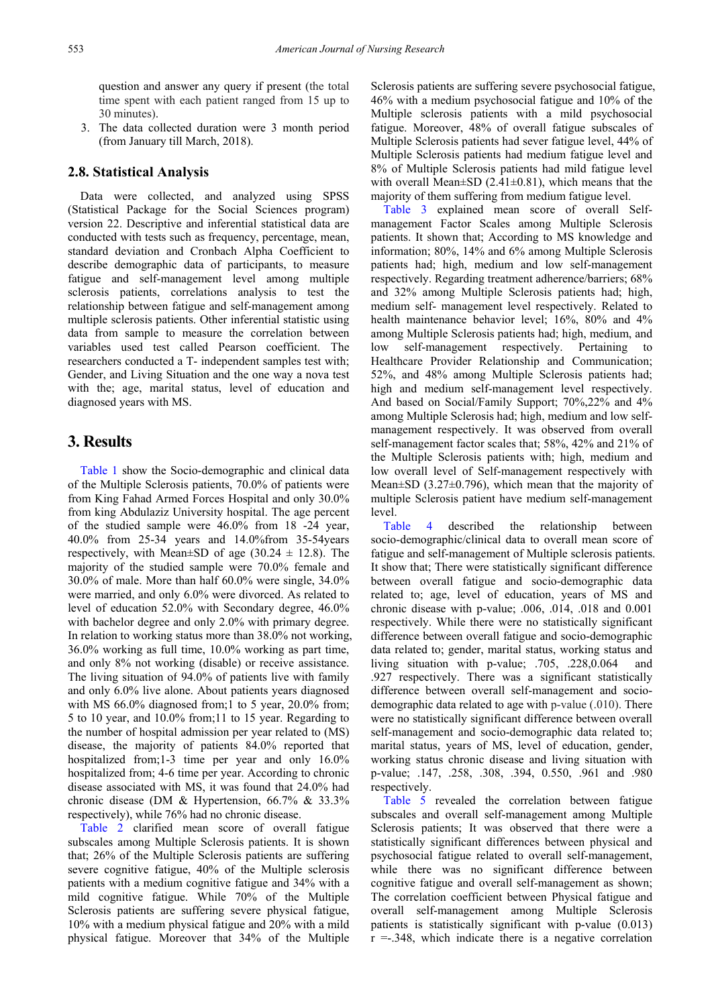question and answer any query if present (the total time spent with each patient ranged from 15 up to 30 minutes).

3. The data collected duration were 3 month period (from January till March, 2018).

## **2.8. Statistical Analysis**

Data were collected, and analyzed using SPSS (Statistical Package for the Social Sciences program) version 22. Descriptive and inferential statistical data are conducted with tests such as frequency, percentage, mean, standard deviation and Cronbach Alpha Coefficient to describe demographic data of participants, to measure fatigue and self-management level among multiple sclerosis patients, correlations analysis to test the relationship between fatigue and self-management among multiple sclerosis patients. Other inferential statistic using data from sample to measure the correlation between variables used test called Pearson coefficient. The researchers conducted a T- independent samples test with; Gender, and Living Situation and the one way a nova test with the; age, marital status, level of education and diagnosed years with MS.

# **3. Results**

[Table 1](#page-4-0) show the Socio-demographic and clinical data of the Multiple Sclerosis patients, 70.0% of patients were from King Fahad Armed Forces Hospital and only 30.0% from king Abdulaziz University hospital. The age percent of the studied sample were 46.0% from 18 -24 year, 40.0% from 25-34 years and 14.0%from 35-54years respectively, with Mean $\pm$ SD of age (30.24  $\pm$  12.8). The majority of the studied sample were 70.0% female and 30.0% of male. More than half 60.0% were single, 34.0% were married, and only 6.0% were divorced. As related to level of education 52.0% with Secondary degree, 46.0% with bachelor degree and only 2.0% with primary degree. In relation to working status more than 38.0% not working, 36.0% working as full time, 10.0% working as part time, and only 8% not working (disable) or receive assistance. The living situation of 94.0% of patients live with family and only 6.0% live alone. About patients years diagnosed with MS 66.0% diagnosed from;1 to 5 year, 20.0% from; 5 to 10 year, and 10.0% from;11 to 15 year. Regarding to the number of hospital admission per year related to (MS) disease, the majority of patients 84.0% reported that hospitalized from;1-3 time per year and only 16.0% hospitalized from; 4-6 time per year. According to chronic disease associated with MS, it was found that 24.0% had chronic disease (DM & Hypertension, 66.7% & 33.3% respectively), while 76% had no chronic disease.

[Table 2](#page-5-0) clarified mean score of overall fatigue subscales among Multiple Sclerosis patients. It is shown that; 26% of the Multiple Sclerosis patients are suffering severe cognitive fatigue, 40% of the Multiple sclerosis patients with a medium cognitive fatigue and 34% with a mild cognitive fatigue. While 70% of the Multiple Sclerosis patients are suffering severe physical fatigue, 10% with a medium physical fatigue and 20% with a mild physical fatigue. Moreover that 34% of the Multiple

Sclerosis patients are suffering severe psychosocial fatigue, 46% with a medium psychosocial fatigue and 10% of the Multiple sclerosis patients with a mild psychosocial fatigue. Moreover, 48% of overall fatigue subscales of Multiple Sclerosis patients had sever fatigue level, 44% of Multiple Sclerosis patients had medium fatigue level and 8% of Multiple Sclerosis patients had mild fatigue level with overall Mean $\pm$ SD (2.41 $\pm$ 0.81), which means that the majority of them suffering from medium fatigue level.

[Table 3](#page-5-1) explained mean score of overall Selfmanagement Factor Scales among Multiple Sclerosis patients. It shown that; According to MS knowledge and information; 80%, 14% and 6% among Multiple Sclerosis patients had; high, medium and low self-management respectively. Regarding treatment adherence/barriers; 68% and 32% among Multiple Sclerosis patients had; high, medium self- management level respectively. Related to health maintenance behavior level; 16%, 80% and 4% among Multiple Sclerosis patients had; high, medium, and low self-management respectively. Pertaining to Healthcare Provider Relationship and Communication; 52%, and 48% among Multiple Sclerosis patients had; high and medium self-management level respectively. And based on Social/Family Support; 70%,22% and 4% among Multiple Sclerosis had; high, medium and low selfmanagement respectively. It was observed from overall self-management factor scales that; 58%, 42% and 21% of the Multiple Sclerosis patients with; high, medium and low overall level of Self-management respectively with Mean $\pm$ SD (3.27 $\pm$ 0.796), which mean that the majority of multiple Sclerosis patient have medium self-management level.

[Table 4](#page-5-2) described the relationship between socio-demographic/clinical data to overall mean score of fatigue and self-management of Multiple sclerosis patients. It show that; There were statistically significant difference between overall fatigue and socio-demographic data related to; age, level of education, years of MS and chronic disease with p-value; .006, .014, .018 and 0.001 respectively. While there were no statistically significant difference between overall fatigue and socio-demographic data related to; gender, marital status, working status and living situation with p-value; .705, .228,0.064 and .927 respectively. There was a significant statistically difference between overall self-management and sociodemographic data related to age with p-value (.010). There were no statistically significant difference between overall self-management and socio-demographic data related to; marital status, years of MS, level of education, gender, working status chronic disease and living situation with p-value; .147, .258, .308, .394, 0.550, .961 and .980 respectively.

[Table 5](#page-6-0) revealed the correlation between fatigue subscales and overall self-management among Multiple Sclerosis patients; It was observed that there were a statistically significant differences between physical and psychosocial fatigue related to overall self-management, while there was no significant difference between cognitive fatigue and overall self-management as shown; The correlation coefficient between Physical fatigue and overall self-management among Multiple Sclerosis patients is statistically significant with p-value (0.013)  $r = 0.348$ , which indicate there is a negative correlation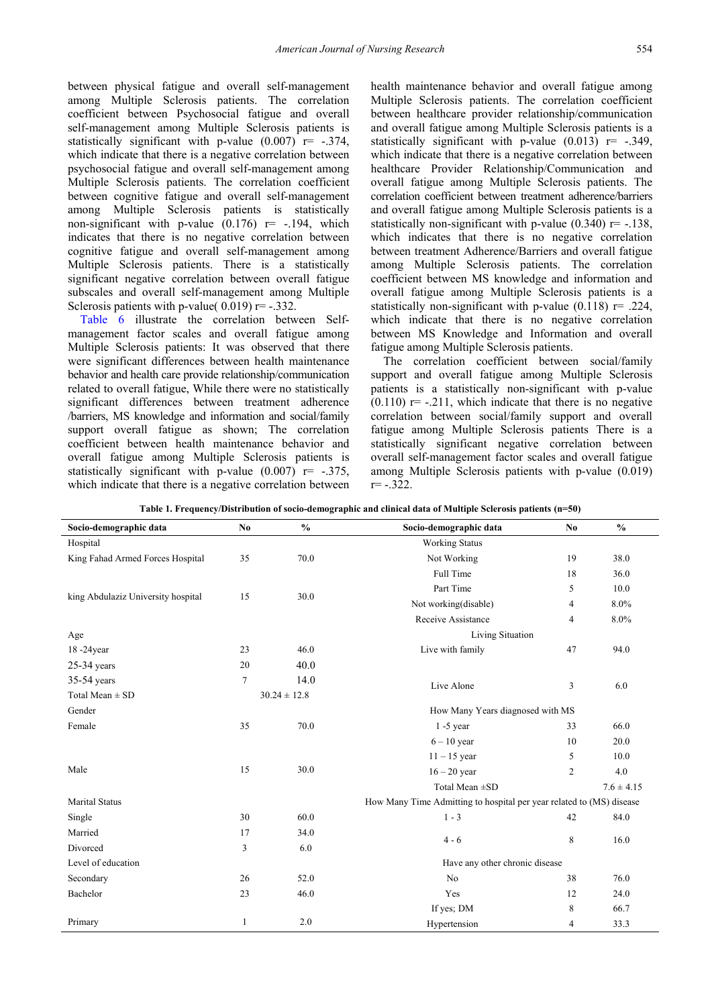between physical fatigue and overall self-management among Multiple Sclerosis patients. The correlation coefficient between Psychosocial fatigue and overall self-management among Multiple Sclerosis patients is statistically significant with p-value  $(0.007)$  r= -.374, which indicate that there is a negative correlation between psychosocial fatigue and overall self-management among Multiple Sclerosis patients. The correlation coefficient between cognitive fatigue and overall self-management among Multiple Sclerosis patients is statistically non-significant with p-value  $(0.176)$  r= -.194, which indicates that there is no negative correlation between cognitive fatigue and overall self-management among Multiple Sclerosis patients. There is a statistically significant negative correlation between overall fatigue subscales and overall self-management among Multiple Sclerosis patients with p-value(  $0.019$ ) r= -.332.

[Table 6](#page-6-1) illustrate the correlation between Selfmanagement factor scales and overall fatigue among Multiple Sclerosis patients: It was observed that there were significant differences between health maintenance behavior and health care provide relationship/communication related to overall fatigue, While there were no statistically significant differences between treatment adherence /barriers, MS knowledge and information and social/family support overall fatigue as shown; The correlation coefficient between health maintenance behavior and overall fatigue among Multiple Sclerosis patients is statistically significant with p-value  $(0.007)$  r= -.375, which indicate that there is a negative correlation between health maintenance behavior and overall fatigue among Multiple Sclerosis patients. The correlation coefficient between healthcare provider relationship/communication and overall fatigue among Multiple Sclerosis patients is a statistically significant with p-value  $(0.013)$  r= -.349, which indicate that there is a negative correlation between healthcare Provider Relationship/Communication and overall fatigue among Multiple Sclerosis patients. The correlation coefficient between treatment adherence/barriers and overall fatigue among Multiple Sclerosis patients is a statistically non-significant with p-value  $(0.340)$  r= -.138, which indicates that there is no negative correlation between treatment Adherence/Barriers and overall fatigue among Multiple Sclerosis patients. The correlation coefficient between MS knowledge and information and overall fatigue among Multiple Sclerosis patients is a statistically non-significant with p-value  $(0.118)$  r= .224, which indicate that there is no negative correlation between MS Knowledge and Information and overall fatigue among Multiple Sclerosis patients.

<span id="page-4-0"></span>The correlation coefficient between social/family support and overall fatigue among Multiple Sclerosis patients is a statistically non-significant with p-value  $(0.110)$  r= -.211, which indicate that there is no negative correlation between social/family support and overall fatigue among Multiple Sclerosis patients There is a statistically significant negative correlation between overall self-management factor scales and overall fatigue among Multiple Sclerosis patients with p-value (0.019)  $r = -.322$ .

| Socio-demographic data             | N <sub>0</sub> | $\frac{0}{0}$    | Socio-demographic data                                               | No. | $\frac{0}{0}$  |  |  |  |
|------------------------------------|----------------|------------------|----------------------------------------------------------------------|-----|----------------|--|--|--|
| Hospital                           |                |                  | <b>Working Status</b>                                                |     |                |  |  |  |
| King Fahad Armed Forces Hospital   | 35             | 70.0             | Not Working                                                          | 19  | 38.0           |  |  |  |
|                                    |                |                  | Full Time                                                            | 18  | 36.0           |  |  |  |
|                                    |                |                  | Part Time                                                            | 5   | 10.0           |  |  |  |
| king Abdulaziz University hospital | 15             | 30.0             | Not working(disable)                                                 | 4   | 8.0%           |  |  |  |
|                                    |                |                  | Receive Assistance                                                   | 4   | 8.0%           |  |  |  |
| Age                                |                |                  | Living Situation                                                     |     |                |  |  |  |
| 18-24year                          | 23             | 46.0             | Live with family                                                     | 47  | 94.0           |  |  |  |
| $25-34$ years                      | 20             | 40.0             |                                                                      |     |                |  |  |  |
| 35-54 years                        | 7              | 14.0             | Live Alone                                                           | 3   | 6.0            |  |  |  |
| Total Mean $\pm$ SD                |                | $30.24 \pm 12.8$ |                                                                      |     |                |  |  |  |
| Gender                             |                |                  | How Many Years diagnosed with MS                                     |     |                |  |  |  |
| Female                             | 35             | 70.0             | $1 - 5$ year                                                         | 33  | 66.0           |  |  |  |
|                                    |                |                  | $6 - 10$ year                                                        | 10  | 20.0           |  |  |  |
|                                    |                |                  | $11 - 15$ year                                                       | 5   | 10.0           |  |  |  |
| Male                               | 15             | 30.0             | $16 - 20$ year                                                       | 2   | 4.0            |  |  |  |
|                                    |                |                  | Total Mean ±SD                                                       |     | $7.6 \pm 4.15$ |  |  |  |
| <b>Marital Status</b>              |                |                  | How Many Time Admitting to hospital per year related to (MS) disease |     |                |  |  |  |
| Single                             | 30             | 60.0             | $1 - 3$                                                              | 42  | 84.0           |  |  |  |
| Married                            | 17             | 34.0             |                                                                      |     |                |  |  |  |
| Divorced                           | 3              | 6.0              | $4 - 6$                                                              | 8   | 16.0           |  |  |  |
| Level of education                 |                |                  | Have any other chronic disease                                       |     |                |  |  |  |
| Secondary                          | 26             | 52.0             | No<br>38                                                             |     | 76.0           |  |  |  |
| Bachelor                           | 23             | 46.0             | Yes                                                                  | 12  | 24.0           |  |  |  |
|                                    |                |                  | If yes; DM                                                           | 8   | 66.7           |  |  |  |
| Primary                            | 1              | 2.0              | Hypertension                                                         | 4   | 33.3           |  |  |  |

**Table 1. Frequency/Distribution of socio-demographic and clinical data of Multiple Sclerosis patients (n=50)**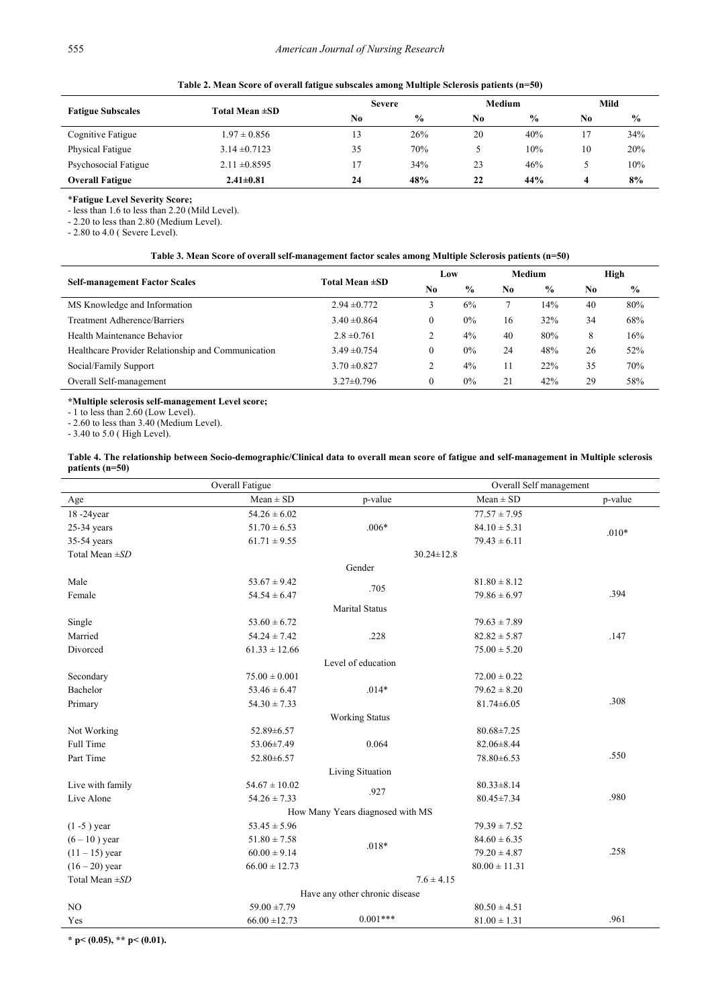|  | Table 2. Mean Score of overall fatigue subscales among Multiple Sclerosis patients (n=50) |  |  |
|--|-------------------------------------------------------------------------------------------|--|--|
|  |                                                                                           |  |  |

<span id="page-5-0"></span>

| <b>Fatigue Subscales</b> |                   |                      | <b>Severe</b> |    | Medium        |    | Mild          |  |
|--------------------------|-------------------|----------------------|---------------|----|---------------|----|---------------|--|
|                          |                   | Total Mean ±SD<br>No | $\frac{0}{0}$ | No | $\frac{6}{9}$ | No | $\frac{0}{0}$ |  |
| Cognitive Fatigue        | $1.97 \pm 0.856$  |                      | 26%           | 20 | 40%           |    | 34%           |  |
| <b>Physical Fatigue</b>  | $3.14 \pm 0.7123$ | 35                   | 70%           |    | 10%           | 10 | 20%           |  |
| Psychosocial Fatigue     | $2.11 \pm 0.8595$ |                      | 34%           | 23 | 46%           |    | 10%           |  |
| <b>Overall Fatigue</b>   | $2.41 \pm 0.81$   | 24                   | 48%           | 22 | 44%           |    | 8%            |  |

#### \***Fatigue Level Severity Score;**

- less than 1.6 to less than 2.20 (Mild Level).

- 2.20 to less than 2.80 (Medium Level).

- 2.80 to 4.0 ( Severe Level).

| Table 3. Mean Score of overall self-management factor scales among Multiple Sclerosis patients (n=50) |  |
|-------------------------------------------------------------------------------------------------------|--|
|                                                                                                       |  |

<span id="page-5-1"></span>

|                                                    | Total Mean ±SD   |                | Low           |                | <b>Medium</b> |                | High          |  |
|----------------------------------------------------|------------------|----------------|---------------|----------------|---------------|----------------|---------------|--|
| <b>Self-management Factor Scales</b>               |                  | No             | $\frac{0}{0}$ | N <sub>0</sub> | $\frac{0}{0}$ | N <sub>0</sub> | $\frac{6}{9}$ |  |
| MS Knowledge and Information                       | $2.94 \pm 0.772$ |                | 6%            |                | 14%           | 40             | 80%           |  |
| Treatment Adherence/Barriers                       | $3.40 \pm 0.864$ | $\mathbf{0}$   | $0\%$         | 16             | 32%           | 34             | 68%           |  |
| Health Maintenance Behavior                        | $2.8 \pm 0.761$  | 2              | 4%            | 40             | 80%           | 8              | 16%           |  |
| Healthcare Provider Relationship and Communication | $3.49 \pm 0.754$ | $\mathbf{0}$   | $0\%$         | 24             | 48%           | 26             | 52%           |  |
| Social/Family Support                              | $3.70 \pm 0.827$ | $\overline{c}$ | 4%            |                | 22%           | 35             | 70%           |  |
| Overall Self-management                            | $3.27 \pm 0.796$ | $\mathbf{0}$   | $0\%$         | 21             | 42%           | 29             | 58%           |  |

**\*Multiple sclerosis self-management Level score;**

- 1 to less than 2.60 (Low Level).

- 2.60 to less than 3.40 (Medium Level).

- 3.40 to 5.0 ( High Level).

**Table 4. The relationship between Socio-demographic/Clinical data to overall mean score of fatigue and self-management in Multiple sclerosis patients (n=50)**

<span id="page-5-2"></span>

| Overall Fatigue  |                   |                                  | Overall Self management |         |  |  |
|------------------|-------------------|----------------------------------|-------------------------|---------|--|--|
| Age              | $Mean \pm SD$     | p-value                          | $Mean \pm SD$           | p-value |  |  |
| 18-24year        | $54.26 \pm 6.02$  |                                  | $77.57 \pm 7.95$        |         |  |  |
| $25-34$ years    | $51.70 \pm 6.53$  | $.006*$                          | $84.10 \pm 5.31$        | $.010*$ |  |  |
| 35-54 years      | $61.71 \pm 9.55$  |                                  | $79.43 \pm 6.11$        |         |  |  |
| Total Mean ±SD   |                   |                                  | $30.24 \pm 12.8$        |         |  |  |
|                  |                   | Gender                           |                         |         |  |  |
| Male             | $53.67 \pm 9.42$  | .705                             | $81.80 \pm 8.12$        |         |  |  |
| Female           | $54.54 \pm 6.47$  |                                  | $79.86 \pm 6.97$        | .394    |  |  |
|                  |                   | <b>Marital Status</b>            |                         |         |  |  |
| Single           | $53.60 \pm 6.72$  |                                  | $79.63 \pm 7.89$        |         |  |  |
| Married          | $54.24 \pm 7.42$  | .228                             | $82.82 \pm 5.87$        | .147    |  |  |
| Divorced         | $61.33\pm12.66$   |                                  | $75.00 \pm 5.20$        |         |  |  |
|                  |                   | Level of education               |                         |         |  |  |
| Secondary        | $75.00 \pm 0.001$ |                                  | $72.00 \pm 0.22$        |         |  |  |
| Bachelor         | $53.46 \pm 6.47$  | $.014*$                          | $79.62 \pm 8.20$        |         |  |  |
| Primary          | $54.30 \pm 7.33$  |                                  | $81.74 \pm 6.05$        | .308    |  |  |
|                  |                   | <b>Working Status</b>            |                         |         |  |  |
| Not Working      | 52.89±6.57        |                                  | $80.68 \pm 7.25$        |         |  |  |
| Full Time        | 53.06±7.49        | 0.064                            | $82.06 \pm 8.44$        |         |  |  |
| Part Time        | 52.80±6.57        |                                  | 78.80±6.53              | .550    |  |  |
|                  |                   | Living Situation                 |                         |         |  |  |
| Live with family | $54.67 \pm 10.02$ |                                  | $80.33 \pm 8.14$        |         |  |  |
| Live Alone       | $54.26 \pm 7.33$  | .927                             | $80.45 \pm 7.34$        | .980    |  |  |
|                  |                   | How Many Years diagnosed with MS |                         |         |  |  |
| $(1 - 5)$ year   | $53.45 \pm 5.96$  |                                  | $79.39 \pm 7.52$        |         |  |  |
| $(6 - 10)$ year  | $51.80 \pm 7.58$  |                                  | $84.60 \pm 6.35$        |         |  |  |
| $(11 - 15)$ year | $60.00 \pm 9.14$  | $.018*$                          | $79.20 \pm 4.87$        | .258    |  |  |
| $(16 - 20)$ year | $66.00 \pm 12.73$ |                                  | $80.00 \pm 11.31$       |         |  |  |
| Total Mean ±SD   |                   |                                  | $7.6 \pm 4.15$          |         |  |  |
|                  |                   | Have any other chronic disease   |                         |         |  |  |
| NO               | $59.00 \pm 7.79$  |                                  | $80.50 \pm 4.51$        |         |  |  |
| Yes              | $66.00 \pm 12.73$ | $0.001***$                       | $81.00 \pm 1.31$        | .961    |  |  |

**\* p< (0.05), \*\* p< (0.01).**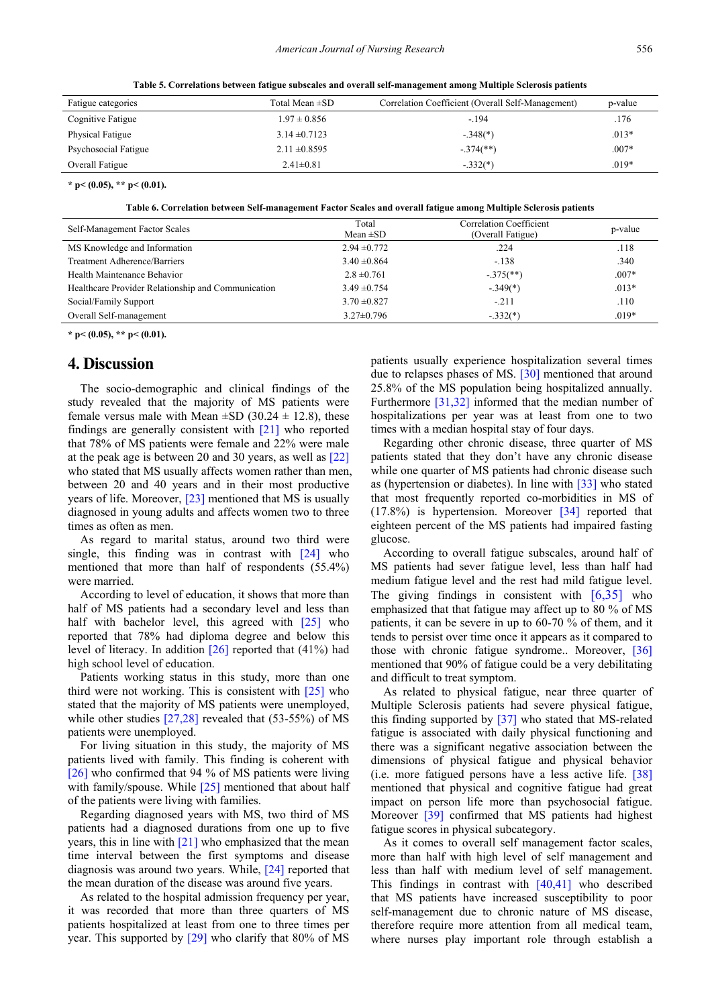**Table 5. Correlations between fatigue subscales and overall self-management among Multiple Sclerosis patients**

<span id="page-6-0"></span>

| Fatigue categories      | Total Mean ±SD    | Correlation Coefficient (Overall Self-Management) | p-value |
|-------------------------|-------------------|---------------------------------------------------|---------|
| Cognitive Fatigue       | $1.97 \pm 0.856$  | $-194$                                            | .176    |
| <b>Physical Fatigue</b> | $3.14 \pm 0.7123$ | $-.348(*)$                                        | $.013*$ |
| Psychosocial Fatigue    | $2.11 \pm 0.8595$ | $-.374$ <sup>**</sup> )                           | $.007*$ |
| Overall Fatigue         | $2.41 \pm 0.81$   | $-.332(*)$                                        | $.019*$ |

**\* p< (0.05), \*\* p< (0.01).**

**Table 6. Correlation between Self-management Factor Scales and overall fatigue among Multiple Sclerosis patients**

<span id="page-6-1"></span>

| Self-Management Factor Scales                      | Total<br>Mean $\pm SD$ | Correlation Coefficient<br>(Overall Fatigue) | p-value |
|----------------------------------------------------|------------------------|----------------------------------------------|---------|
| MS Knowledge and Information                       | $2.94 \pm 0.772$       | .224                                         | .118    |
| Treatment Adherence/Barriers                       | $3.40 \pm 0.864$       | $-.138$                                      | .340    |
| Health Maintenance Behavior                        | $2.8 \pm 0.761$        | $-.375$ <sup>**</sup> )                      | $.007*$ |
| Healthcare Provider Relationship and Communication | $3.49 \pm 0.754$       | $-.349(*)$                                   | $.013*$ |
| Social/Family Support                              | $3.70 \pm 0.827$       | $-.211$                                      | .110    |
| Overall Self-management                            | $3.27 \pm 0.796$       | $-.332(*)$                                   | $.019*$ |

**\* p< (0.05), \*\* p< (0.01).**

# **4. Discussion**

The socio-demographic and clinical findings of the study revealed that the majority of MS patients were female versus male with Mean  $\pm$ SD (30.24  $\pm$  12.8), these findings are generally consistent with [\[21\]](#page-9-18) who reported that 78% of MS patients were female and 22% were male at the peak age is between 20 and 30 years, as well as [\[22\]](#page-9-19) who stated that MS usually affects women rather than men, between 20 and 40 years and in their most productive years of life. Moreover[, \[23\]](#page-9-20) mentioned that MS is usually diagnosed in young adults and affects women two to three times as often as men.

As regard to marital status, around two third were single, this finding was in contrast with [\[24\]](#page-9-21) who mentioned that more than half of respondents (55.4%) were married.

According to level of education, it shows that more than half of MS patients had a secondary level and less than half with bachelor level, this agreed with [\[25\]](#page-9-22) who reported that 78% had diploma degree and below this level of literacy. In addition [\[26\]](#page-9-23) reported that (41%) had high school level of education.

Patients working status in this study, more than one third were not working. This is consistent with [\[25\]](#page-9-22) who stated that the majority of MS patients were unemployed, while other studies [\[27,28\]](#page-9-24) revealed that (53-55%) of MS patients were unemployed.

For living situation in this study, the majority of MS patients lived with family. This finding is coherent with [\[26\]](#page-9-23) who confirmed that 94 % of MS patients were living with family/spouse. While  $\lceil 25 \rceil$  mentioned that about half of the patients were living with families.

Regarding diagnosed years with MS, two third of MS patients had a diagnosed durations from one up to five years, this in line with  $[21]$  who emphasized that the mean time interval between the first symptoms and disease diagnosis was around two years. While, [\[24\]](#page-9-21) reported that the mean duration of the disease was around five years.

As related to the hospital admission frequency per year, it was recorded that more than three quarters of MS patients hospitalized at least from one to three times per year. This supported by [\[29\]](#page-9-25) who clarify that 80% of MS patients usually experience hospitalization several times due to relapses phases of MS. [\[30\]](#page-9-26) mentioned that around 25.8% of the MS population being hospitalized annually. Furthermore [\[31,32\]](#page-9-27) informed that the median number of hospitalizations per year was at least from one to two times with a median hospital stay of four days.

Regarding other chronic disease, three quarter of MS patients stated that they don't have any chronic disease while one quarter of MS patients had chronic disease such as (hypertension or diabetes). In line with [\[33\]](#page-9-28) who stated that most frequently reported co-morbidities in MS of (17.8%) is hypertension. Moreover [\[34\]](#page-9-29) reported that eighteen percent of the MS patients had impaired fasting glucose.

According to overall fatigue subscales, around half of MS patients had sever fatigue level, less than half had medium fatigue level and the rest had mild fatigue level. The giving findings in consistent with  $[6,35]$  who emphasized that that fatigue may affect up to 80 % of MS patients, it can be severe in up to 60-70 % of them, and it tends to persist over time once it appears as it compared to those with chronic fatigue syndrome.. Moreover, [\[36\]](#page-9-30) mentioned that 90% of fatigue could be a very debilitating and difficult to treat symptom.

As related to physical fatigue, near three quarter of Multiple Sclerosis patients had severe physical fatigue, this finding supported by [\[37\]](#page-10-0) who stated that MS-related fatigue is associated with daily physical functioning and there was a significant negative association between the dimensions of physical fatigue and physical behavior (i.e. more fatigued persons have a less active life. [\[38\]](#page-10-1) mentioned that physical and cognitive fatigue had great impact on person life more than psychosocial fatigue. Moreover [\[39\]](#page-10-2) confirmed that MS patients had highest fatigue scores in physical subcategory.

As it comes to overall self management factor scales, more than half with high level of self management and less than half with medium level of self management. This findings in contrast with  $[40,41]$  who described that MS patients have increased susceptibility to poor self-management due to chronic nature of MS disease, therefore require more attention from all medical team, where nurses play important role through establish a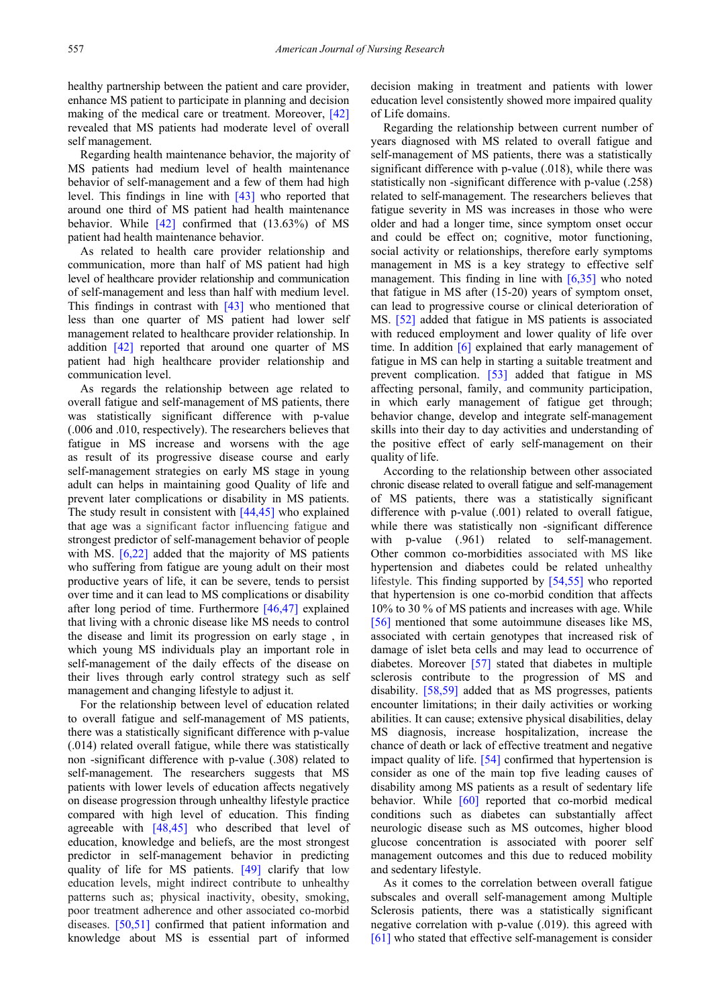healthy partnership between the patient and care provider, enhance MS patient to participate in planning and decision making of the medical care or treatment. Moreover, [\[42\]](#page-10-4) revealed that MS patients had moderate level of overall self management.

Regarding health maintenance behavior, the majority of MS patients had medium level of health maintenance behavior of self-management and a few of them had high level. This findings in line with [\[43\]](#page-10-5) who reported that around one third of MS patient had health maintenance behavior. While  $[42]$  confirmed that  $(13.63\%)$  of MS patient had health maintenance behavior.

As related to health care provider relationship and communication, more than half of MS patient had high level of healthcare provider relationship and communication of self-management and less than half with medium level. This findings in contrast with [\[43\]](#page-10-5) who mentioned that less than one quarter of MS patient had lower self management related to healthcare provider relationship. In addition [\[42\]](#page-10-4) reported that around one quarter of MS patient had high healthcare provider relationship and communication level.

As regards the relationship between age related to overall fatigue and self-management of MS patients, there was statistically significant difference with p-value (.006 and .010, respectively). The researchers believes that fatigue in MS increase and worsens with the age as result of its progressive disease course and early self-management strategies on early MS stage in young adult can helps in maintaining good Quality of life and prevent later complications or disability in MS patients. The study result in consistent with  $[44, 45]$  who explained that age was a significant factor influencing fatigue and strongest predictor of self-management behavior of people with MS. [\[6,22\]](#page-9-5) added that the majority of MS patients who suffering from fatigue are young adult on their most productive years of life, it can be severe, tends to persist over time and it can lead to MS complications or disability after long period of time. Furthermore [\[46,47\]](#page-10-7) explained that living with a chronic disease like MS needs to control the disease and limit its progression on early stage , in which young MS individuals play an important role in self-management of the daily effects of the disease on their lives through early control strategy such as self management and changing lifestyle to adjust it.

For the relationship between level of education related to overall fatigue and self-management of MS patients, there was a statistically significant difference with p-value (.014) related overall fatigue, while there was statistically non -significant difference with p-value (.308) related to self-management. The researchers suggests that MS patients with lower levels of education affects negatively on disease progression through unhealthy lifestyle practice compared with high level of education. This finding agreeable with [\[48,45\]](#page-10-8) who described that level of education, knowledge and beliefs, are the most strongest predictor in self-management behavior in predicting quality of life for MS patients. [\[49\]](#page-10-9) clarify that low education levels, might indirect contribute to unhealthy patterns such as; physical inactivity, obesity, smoking, poor treatment adherence and other associated co-morbid diseases. [\[50,51\]](#page-10-10) confirmed that patient information and knowledge about MS is essential part of informed

decision making in treatment and patients with lower education level consistently showed more impaired quality of Life domains.

Regarding the relationship between current number of years diagnosed with MS related to overall fatigue and self-management of MS patients, there was a statistically significant difference with p-value (.018), while there was statistically non -significant difference with p-value (.258) related to self-management. The researchers believes that fatigue severity in MS was increases in those who were older and had a longer time, since symptom onset occur and could be effect on; cognitive, motor functioning, social activity or relationships, therefore early symptoms management in MS is a key strategy to effective self management. This finding in line with [\[6,35\]](#page-9-5) who noted that fatigue in MS after (15-20) years of symptom onset, can lead to progressive course or clinical deterioration of MS. [\[52\]](#page-10-11) added that fatigue in MS patients is associated with reduced employment and lower quality of life over time. In addition [\[6\]](#page-9-5) explained that early management of fatigue in MS can help in starting a suitable treatment and prevent complication. [\[53\]](#page-10-12) added that fatigue in MS affecting personal, family, and community participation, in which early management of fatigue get through; behavior change, develop and integrate self-management skills into their day to day activities and understanding of the positive effect of early self-management on their quality of life.

According to the relationship between other associated chronic disease related to overall fatigue and self-management of MS patients, there was a statistically significant difference with p-value (.001) related to overall fatigue, while there was statistically non -significant difference with p-value (.961) related to self-management. Other common co-morbidities associated with MS like hypertension and diabetes could be related unhealthy lifestyle. This finding supported by [\[54,55\]](#page-10-13) who reported that hypertension is one co-morbid condition that affects 10% to 30 % of MS patients and increases with age. While [\[56\]](#page-10-14) mentioned that some autoimmune diseases like MS, associated with certain genotypes that increased risk of damage of islet beta cells and may lead to occurrence of diabetes. Moreover [\[57\]](#page-10-15) stated that diabetes in multiple sclerosis contribute to the progression of MS and disability. [\[58,59\]](#page-10-16) added that as MS progresses, patients encounter limitations; in their daily activities or working abilities. It can cause; extensive physical disabilities, delay MS diagnosis, increase hospitalization, increase the chance of death or lack of effective treatment and negative impact quality of life. [\[54\]](#page-10-13) confirmed that hypertension is consider as one of the main top five leading causes of disability among MS patients as a result of sedentary life behavior. While [\[60\]](#page-10-17) reported that co-morbid medical conditions such as diabetes can substantially affect neurologic disease such as MS outcomes, higher blood glucose concentration is associated with poorer self management outcomes and this due to reduced mobility and sedentary lifestyle.

As it comes to the correlation between overall fatigue subscales and overall self-management among Multiple Sclerosis patients, there was a statistically significant negative correlation with p-value (.019). this agreed with [\[61\]](#page-10-18) who stated that effective self-management is consider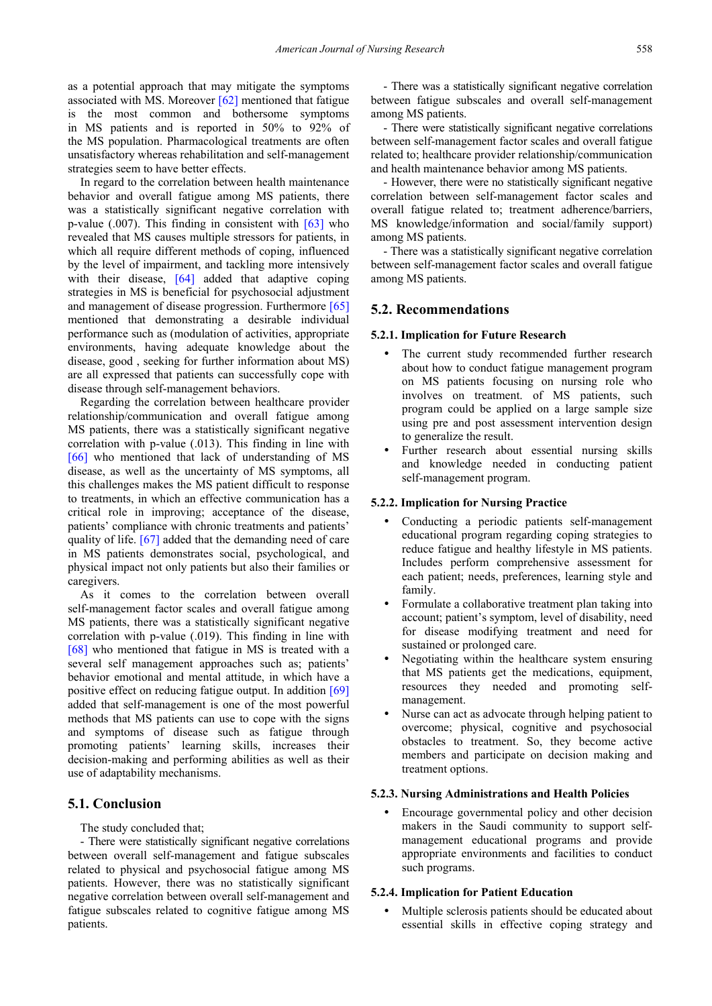as a potential approach that may mitigate the symptoms associated with MS. Moreover [\[62\]](#page-10-19) mentioned that fatigue is the most common and bothersome symptoms in MS patients and is reported in 50% to 92% of the MS population. Pharmacological treatments are often unsatisfactory whereas rehabilitation and self-management strategies seem to have better effects.

In regard to the correlation between health maintenance behavior and overall fatigue among MS patients, there was a statistically significant negative correlation with p-value  $(.007)$ . This finding in consistent with  $[63]$  who revealed that MS causes multiple stressors for patients, in which all require different methods of coping, influenced by the level of impairment, and tackling more intensively with their disease, [\[64\]](#page-10-21) added that adaptive coping strategies in MS is beneficial for psychosocial adjustment and management of disease progression. Furthermore [\[65\]](#page-10-22) mentioned that demonstrating a desirable individual performance such as (modulation of activities, appropriate environments, having adequate knowledge about the disease, good , seeking for further information about MS) are all expressed that patients can successfully cope with disease through self-management behaviors.

Regarding the correlation between healthcare provider relationship/communication and overall fatigue among MS patients, there was a statistically significant negative correlation with p-value (.013). This finding in line with [\[66\]](#page-10-23) who mentioned that lack of understanding of MS disease, as well as the uncertainty of MS symptoms, all this challenges makes the MS patient difficult to response to treatments, in which an effective communication has a critical role in improving; acceptance of the disease, patients' compliance with chronic treatments and patients' quality of life. [\[67\]](#page-10-24) added that the demanding need of care in MS patients demonstrates social, psychological, and physical impact not only patients but also their families or caregivers.

As it comes to the correlation between overall self-management factor scales and overall fatigue among MS patients, there was a statistically significant negative correlation with p-value (.019). This finding in line with [\[68\]](#page-10-25) who mentioned that fatigue in MS is treated with a several self management approaches such as; patients' behavior emotional and mental attitude, in which have a positive effect on reducing fatigue output. In addition [\[69\]](#page-10-26) added that self-management is one of the most powerful methods that MS patients can use to cope with the signs and symptoms of disease such as fatigue through promoting patients' learning skills, increases their decision-making and performing abilities as well as their use of adaptability mechanisms.

#### **5.1. Conclusion**

The study concluded that;

- There were statistically significant negative correlations between overall self-management and fatigue subscales related to physical and psychosocial fatigue among MS patients. However, there was no statistically significant negative correlation between overall self-management and fatigue subscales related to cognitive fatigue among MS patients.

- There was a statistically significant negative correlation between fatigue subscales and overall self-management among MS patients.

- There were statistically significant negative correlations between self-management factor scales and overall fatigue related to; healthcare provider relationship/communication and health maintenance behavior among MS patients.

- However, there were no statistically significant negative correlation between self-management factor scales and overall fatigue related to; treatment adherence/barriers, MS knowledge/information and social/family support) among MS patients.

- There was a statistically significant negative correlation between self-management factor scales and overall fatigue among MS patients.

### **5.2. Recommendations**

#### **5.2.1. Implication for Future Research**

- The current study recommended further research about how to conduct fatigue management program on MS patients focusing on nursing role who involves on treatment. of MS patients, such program could be applied on a large sample size using pre and post assessment intervention design to generalize the result.
- Further research about essential nursing skills and knowledge needed in conducting patient self-management program.

#### **5.2.2. Implication for Nursing Practice**

- Conducting a periodic patients self-management educational program regarding coping strategies to reduce fatigue and healthy lifestyle in MS patients. Includes perform comprehensive assessment for each patient; needs, preferences, learning style and family.
- Formulate a collaborative treatment plan taking into account; patient's symptom, level of disability, need for disease modifying treatment and need for sustained or prolonged care.
- Negotiating within the healthcare system ensuring that MS patients get the medications, equipment, resources they needed and promoting selfmanagement.
- Nurse can act as advocate through helping patient to overcome; physical, cognitive and psychosocial obstacles to treatment. So, they become active members and participate on decision making and treatment options.

#### **5.2.3. Nursing Administrations and Health Policies**

 Encourage governmental policy and other decision makers in the Saudi community to support selfmanagement educational programs and provide appropriate environments and facilities to conduct such programs.

#### **5.2.4. Implication for Patient Education**

 Multiple sclerosis patients should be educated about essential skills in effective coping strategy and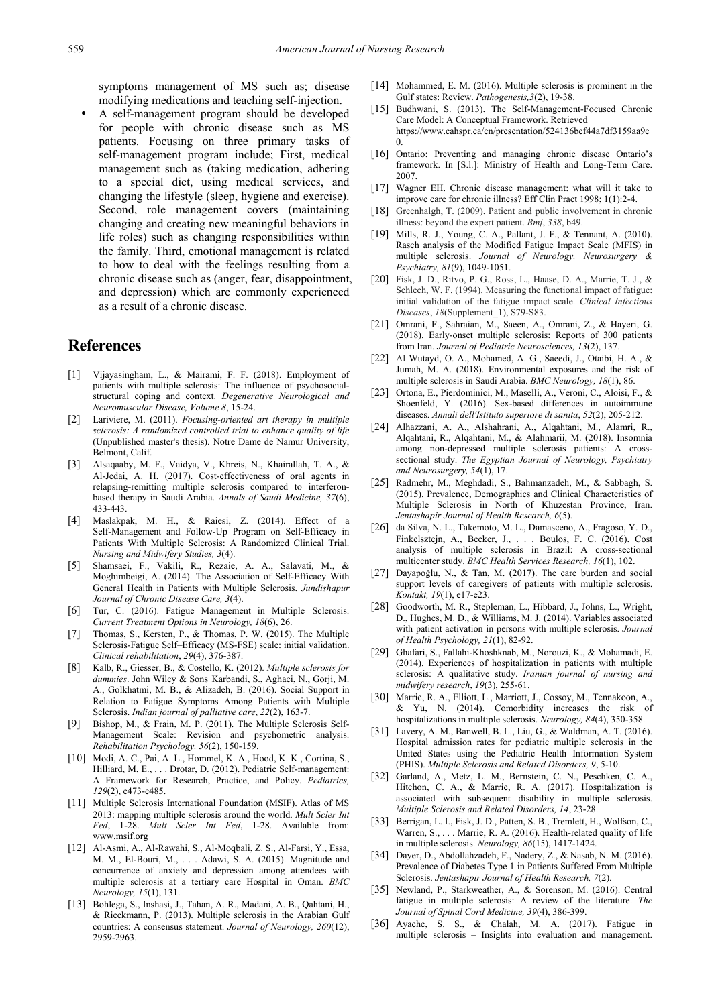symptoms management of MS such as; disease modifying medications and teaching self-injection.

 A self-management program should be developed for people with chronic disease such as MS patients. Focusing on three primary tasks of self-management program include; First, medical management such as (taking medication, adhering to a special diet, using medical services, and changing the lifestyle (sleep, hygiene and exercise). Second, role management covers (maintaining changing and creating new meaningful behaviors in life roles) such as changing responsibilities within the family. Third, emotional management is related to how to deal with the feelings resulting from a chronic disease such as (anger, fear, disappointment, and depression) which are commonly experienced as a result of a chronic disease.

# **References**

- <span id="page-9-0"></span>[1] Vijayasingham, L., & Mairami, F. F. (2018). Employment of patients with multiple sclerosis: The influence of psychosocialstructural coping and context. *Degenerative Neurological and Neuromuscular Disease, Volume 8*, 15-24.
- <span id="page-9-1"></span>[2] Lariviere, M. (2011). *Focusing-oriented art therapy in multiple sclerosis: A randomized controlled trial to enhance quality of life* (Unpublished master's thesis). Notre Dame de Namur University, Belmont, Calif.
- <span id="page-9-2"></span>[3] Alsaqaaby, M. F., Vaidya, V., Khreis, N., Khairallah, T. A., & Al-Jedai, A. H. (2017). Cost-effectiveness of oral agents in relapsing-remitting multiple sclerosis compared to interferonbased therapy in Saudi Arabia. *Annals of Saudi Medicine, 37*(6), 433-443.
- <span id="page-9-3"></span>[4] Maslakpak, M. H., & Raiesi, Z. (2014). Effect of a Self-Management and Follow-Up Program on Self-Efficacy in Patients With Multiple Sclerosis: A Randomized Clinical Trial. *Nursing and Midwifery Studies, 3*(4).
- <span id="page-9-4"></span>[5] Shamsaei, F., Vakili, R., Rezaie, A. A., Salavati, M., & Moghimbeigi, A. (2014). The Association of Self-Efficacy With General Health in Patients with Multiple Sclerosis. *Jundishapur Journal of Chronic Disease Care, 3*(4).
- <span id="page-9-5"></span>[6] Tur, C. (2016). Fatigue Management in Multiple Sclerosis. *Current Treatment Options in Neurology, 18*(6), 26.
- <span id="page-9-6"></span>[7] Thomas, S., Kersten, P., & Thomas, P. W. (2015). The Multiple Sclerosis-Fatigue Self–Efficacy (MS-FSE) scale: initial validation. *Clinical rehabilitation*, *29*(4), 376-387.
- <span id="page-9-7"></span>[8] Kalb, R., Giesser, B., & Costello, K. (2012). *Multiple sclerosis for dummies*. John Wiley & Sons Karbandi, S., Aghaei, N., Gorji, M. A., Golkhatmi, M. B., & Alizadeh, B. (2016). Social Support in Relation to Fatigue Symptoms Among Patients with Multiple Sclerosis. *Indian journal of palliative care*, *22*(2), 163-7.
- <span id="page-9-8"></span>[9] Bishop, M., & Frain, M. P. (2011). The Multiple Sclerosis Self-Management Scale: Revision and psychometric analysis. *Rehabilitation Psychology, 56*(2), 150-159.
- <span id="page-9-9"></span>[10] Modi, A. C., Pai, A. L., Hommel, K. A., Hood, K. K., Cortina, S., Hilliard, M. E., . . . Drotar, D. (2012). Pediatric Self-management: A Framework for Research, Practice, and Policy. *Pediatrics, 129*(2), e473-e485.
- <span id="page-9-10"></span>[11] Multiple Sclerosis International Foundation (MSIF). Atlas of MS 2013: mapping multiple sclerosis around the world. *Mult Scler Int Fed*, 1-28. *Mult Scler Int Fed*, 1-28. Available from: www.msif.org
- <span id="page-9-11"></span>[12] Al-Asmi, A., Al-Rawahi, S., Al-Moqbali, Z. S., Al-Farsi, Y., Essa, M. M., El-Bouri, M., . . . Adawi, S. A. (2015). Magnitude and concurrence of anxiety and depression among attendees with multiple sclerosis at a tertiary care Hospital in Oman. *BMC Neurology, 15*(1), 131.
- <span id="page-9-12"></span>[13] Bohlega, S., Inshasi, J., Tahan, A. R., Madani, A. B., Qahtani, H., & Rieckmann, P. (2013). Multiple sclerosis in the Arabian Gulf countries: A consensus statement. *Journal of Neurology, 260*(12), 2959-2963.
- [14] Mohammed, E. M. (2016). Multiple sclerosis is prominent in the Gulf states: Review. *Pathogenesis,3*(2), 19-38.
- <span id="page-9-13"></span>[15] Budhwani, S. (2013). The Self-Management-Focused Chronic Care Model: A Conceptual Framework. Retrieved https://www.cahspr.ca/en/presentation/524136bef44a7df3159aa9e  $\Omega$
- <span id="page-9-14"></span>[16] Ontario: Preventing and managing chronic disease Ontario's framework. In [S.l.]: Ministry of Health and Long-Term Care. 2007.
- <span id="page-9-15"></span>[17] Wagner EH. Chronic disease management: what will it take to improve care for chronic illness? Eff Clin Pract 1998; 1(1):2-4.
- <span id="page-9-16"></span>[18] Greenhalgh, T. (2009). Patient and public involvement in chronic illness: beyond the expert patient. *Bmj*, *338*, b49.
- <span id="page-9-17"></span>[19] Mills, R. J., Young, C. A., Pallant, J. F., & Tennant, A. (2010). Rasch analysis of the Modified Fatigue Impact Scale (MFIS) in multiple sclerosis. *Journal of Neurology, Neurosurgery & Psychiatry, 81*(9), 1049-1051.
- [20] Fisk, J. D., Ritvo, P. G., Ross, L., Haase, D. A., Marrie, T. J., & Schlech, W. F. (1994). Measuring the functional impact of fatigue: initial validation of the fatigue impact scale. *Clinical Infectious Diseases*, *18*(Supplement\_1), S79-S83.
- <span id="page-9-18"></span>[21] Omrani, F., Sahraian, M., Saeen, A., Omrani, Z., & Hayeri, G. (2018). Early-onset multiple sclerosis: Reports of 300 patients from Iran. *Journal of Pediatric Neurosciences, 13*(2), 137.
- <span id="page-9-19"></span>[22] Al Wutayd, O. A., Mohamed, A. G., Saeedi, J., Otaibi, H. A., & Jumah, M. A. (2018). Environmental exposures and the risk of multiple sclerosis in Saudi Arabia. *BMC Neurology, 18*(1), 86.
- <span id="page-9-20"></span>[23] Ortona, E., Pierdominici, M., Maselli, A., Veroni, C., Aloisi, F., & Shoenfeld, Y. (2016). Sex-based differences in autoimmune diseases. *Annali dell'Istituto superiore di sanita*, *52*(2), 205-212.
- <span id="page-9-21"></span>[24] Alhazzani, A. A., Alshahrani, A., Alqahtani, M., Alamri, R., Alqahtani, R., Alqahtani, M., & Alahmarii, M. (2018). Insomnia among non-depressed multiple sclerosis patients: A crosssectional study. *The Egyptian Journal of Neurology, Psychiatry and Neurosurgery, 54*(1), 17.
- <span id="page-9-22"></span>[25] Radmehr, M., Meghdadi, S., Bahmanzadeh, M., & Sabbagh, S. (2015). Prevalence, Demographics and Clinical Characteristics of Multiple Sclerosis in North of Khuzestan Province, Iran. *Jentashapir Journal of Health Research, 6*(5).
- <span id="page-9-23"></span>[26] da Silva, N. L., Takemoto, M. L., Damasceno, A., Fragoso, Y. D., Finkelsztejn, A., Becker, J., . . . Boulos, F. C. (2016). Cost analysis of multiple sclerosis in Brazil: A cross-sectional multicenter study. *BMC Health Services Research, 16*(1), 102.
- <span id="page-9-24"></span>[27] Dayapoğlu, N., & Tan, M. (2017). The care burden and social support levels of caregivers of patients with multiple sclerosis. *Kontakt, 19*(1), e17-e23.
- [28] Goodworth, M. R., Stepleman, L., Hibbard, J., Johns, L., Wright, D., Hughes, M. D., & Williams, M. J. (2014). Variables associated with patient activation in persons with multiple sclerosis. *Journal of Health Psychology, 21*(1), 82-92.
- <span id="page-9-25"></span>[29] Ghafari, S., Fallahi-Khoshknab, M., Norouzi, K., & Mohamadi, E. (2014). Experiences of hospitalization in patients with multiple sclerosis: A qualitative study. *Iranian journal of nursing and midwifery research*, *19*(3), 255-61.
- <span id="page-9-26"></span>[30] Marrie, R. A., Elliott, L., Marriott, J., Cossoy, M., Tennakoon, A., & Yu, N. (2014). Comorbidity increases the risk of hospitalizations in multiple sclerosis. *Neurology, 84*(4), 350-358.
- <span id="page-9-27"></span>[31] Lavery, A. M., Banwell, B. L., Liu, G., & Waldman, A. T. (2016). Hospital admission rates for pediatric multiple sclerosis in the United States using the Pediatric Health Information System (PHIS). *Multiple Sclerosis and Related Disorders, 9*, 5-10.
- [32] Garland, A., Metz, L. M., Bernstein, C. N., Peschken, C. A., Hitchon, C. A., & Marrie, R. A. (2017). Hospitalization is associated with subsequent disability in multiple sclerosis. *Multiple Sclerosis and Related Disorders, 14*, 23-28.
- <span id="page-9-28"></span>[33] Berrigan, L. I., Fisk, J. D., Patten, S. B., Tremlett, H., Wolfson, C., Warren, S., . . . Marrie, R. A. (2016). Health-related quality of life in multiple sclerosis. *Neurology, 86*(15), 1417-1424.
- <span id="page-9-29"></span>[34] Dayer, D., Abdollahzadeh, F., Nadery, Z., & Nasab, N. M. (2016). Prevalence of Diabetes Type 1 in Patients Suffered From Multiple Sclerosis. *Jentashapir Journal of Health Research, 7*(2).
- [35] Newland, P., Starkweather, A., & Sorenson, M. (2016). Central fatigue in multiple sclerosis: A review of the literature. *The Journal of Spinal Cord Medicine, 39*(4), 386-399.
- <span id="page-9-30"></span>[36] Ayache, S. S., & Chalah, M. A. (2017). Fatigue in multiple sclerosis – Insights into evaluation and management.